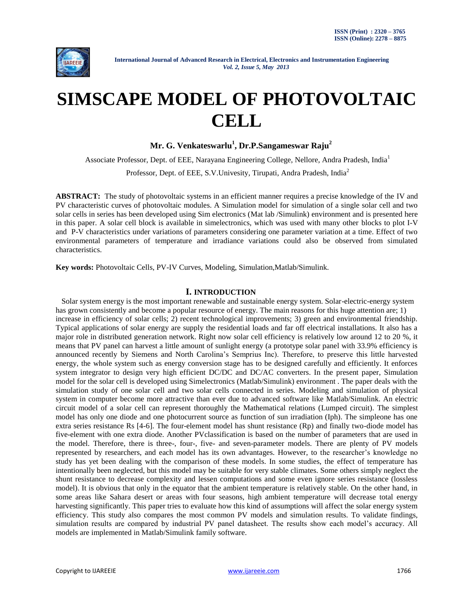

# **SIMSCAPE MODEL OF PHOTOVOLTAIC CELL**

**Mr. G. Venkateswarlu<sup>1</sup> , Dr.P.Sangameswar Raju<sup>2</sup>**

Associate Professor, Dept. of EEE, Narayana Engineering College, Nellore, Andra Pradesh, India<sup>1</sup>

Professor, Dept. of EEE, S.V.Univesity, Tirupati, Andra Pradesh, India<sup>2</sup>

**ABSTRACT:** The study of photovoltaic systems in an efficient manner requires a precise knowledge of the IV and PV characteristic curves of photovoltaic modules. A Simulation model for simulation of a single solar cell and two solar cells in series has been developed using Sim electronics (Mat lab /Simulink) environment and is presented here in this paper. A solar cell block is available in simelectronics, which was used with many other blocks to plot I-V and P-V characteristics under variations of parameters considering one parameter variation at a time. Effect of two environmental parameters of temperature and irradiance variations could also be observed from simulated characteristics.

**Key words:** Photovoltaic Cells, PV-IV Curves, Modeling, Simulation,Matlab/Simulink.

### **I. INTRODUCTION**

 Solar system energy is the most important renewable and sustainable energy system. Solar-electric-energy system has grown consistently and become a popular resource of energy. The main reasons for this huge attention are; 1) increase in efficiency of solar cells; 2) recent technological improvements; 3) green and environmental friendship. Typical applications of solar energy are supply the residential loads and far off electrical installations. It also has a major role in distributed generation network. Right now solar cell efficiency is relatively low around 12 to 20 %, it means that PV panel can harvest a little amount of sunlight energy (a prototype solar panel with 33.9% efficiency is announced recently by Siemens and North Carolina's Semprius Inc). Therefore, to preserve this little harvested energy, the whole system such as energy conversion stage has to be designed carefully and efficiently. It enforces system integrator to design very high efficient DC/DC and DC/AC converters. In the present paper, Simulation model for the solar cell is developed using Simelectronics (Matlab/Simulink) environment . The paper deals with the simulation study of one solar cell and two solar cells connected in series. Modeling and simulation of physical system in computer become more attractive than ever due to advanced software like Matlab/Simulink. An electric circuit model of a solar cell can represent thoroughly the Mathematical relations (Lumped circuit). The simplest model has only one diode and one photocurrent source as function of sun irradiation (Iph). The simpleone has one extra series resistance Rs [4-6]. The four-element model has shunt resistance (Rp) and finally two-diode model has five-element with one extra diode. Another PVclassification is based on the number of parameters that are used in the model. Therefore, there is three-, four-, five- and seven-parameter models. There are plenty of PV models represented by researchers, and each model has its own advantages. However, to the researcher's knowledge no study has yet been dealing with the comparison of these models. In some studies, the effect of temperature has intentionally been neglected, but this model may be suitable for very stable climates. Some others simply neglect the shunt resistance to decrease complexity and lessen computations and some even ignore series resistance (lossless model). It is obvious that only in the equator that the ambient temperature is relatively stable. On the other hand, in some areas like Sahara desert or areas with four seasons, high ambient temperature will decrease total energy harvesting significantly. This paper tries to evaluate how this kind of assumptions will affect the solar energy system efficiency. This study also compares the most common PV models and simulation results. To validate findings, simulation results are compared by industrial PV panel datasheet. The results show each model's accuracy. All models are implemented in Matlab/Simulink family software.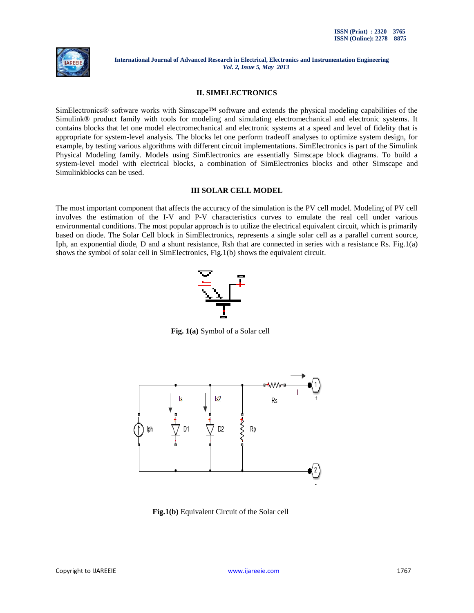

#### **II. SIMELECTRONICS**

SimElectronics® software works with Simscape™ software and extends the physical modeling capabilities of the Simulink® product family with tools for modeling and simulating electromechanical and electronic systems. It contains blocks that let one model electromechanical and electronic systems at a speed and level of fidelity that is appropriate for system-level analysis. The blocks let one perform tradeoff analyses to optimize system design, for example, by testing various algorithms with different circuit implementations. SimElectronics is part of the Simulink Physical Modeling family. Models using SimElectronics are essentially Simscape block diagrams. To build a system-level model with electrical blocks, a combination of SimElectronics blocks and other Simscape and Simulinkblocks can be used.

#### **III SOLAR CELL MODEL**

The most important component that affects the accuracy of the simulation is the PV cell model. Modeling of PV cell involves the estimation of the I-V and P-V characteristics curves to emulate the real cell under various environmental conditions. The most popular approach is to utilize the electrical equivalent circuit, which is primarily based on diode. The Solar Cell block in SimElectronics, represents a single solar cell as a parallel current source, Iph, an exponential diode, D and a shunt resistance, Rsh that are connected in series with a resistance Rs. Fig.1(a) shows the symbol of solar cell in SimElectronics, Fig.1(b) shows the equivalent circuit.



**Fig. 1(a)** Symbol of a Solar cell



 **Fig.1(b)** Equivalent Circuit of the Solar cell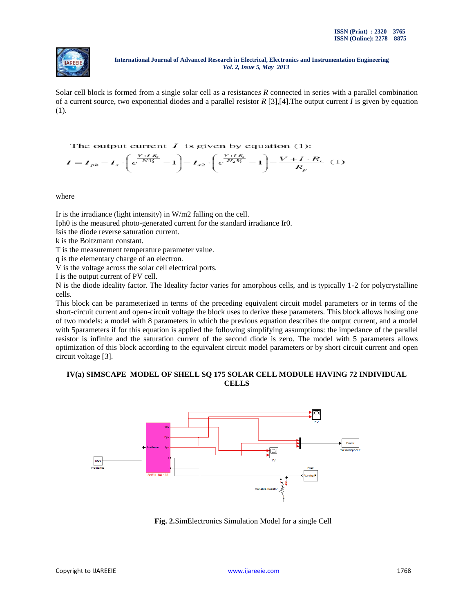

Solar cell block is formed from a single solar cell as a resistance*s R* connected in series with a parallel combination of a current source, two exponential diodes and a parallel resistor *R* [3],[4].The output current *I* is given by equation (1).

The output current  $I$  is given by equation (1):  $I = I_{ph} - I_s \cdot \left(e^{\frac{V + I \cdot R_s}{N \cdot V_t}} - 1\right) - I_{s2} \cdot \left(e^{\frac{V + I \cdot R_s}{N_2 \cdot V_t}} - 1\right) - \frac{V + I \cdot R_s}{R_p} (1)$ 

where

Ir is the irradiance (light intensity) in W/m2 falling on the cell.

Iph0 is the measured photo-generated current for the standard irradiance Ir0.

Isis the diode reverse saturation current.

k is the Boltzmann constant.

T is the measurement temperature parameter value.

q is the elementary charge of an electron.

V is the voltage across the solar cell electrical ports.

I is the output current of PV cell.

N is the diode ideality factor. The Ideality factor varies for amorphous cells, and is typically 1-2 for polycrystalline cells.

This block can be parameterized in terms of the preceding equivalent circuit model parameters or in terms of the short-circuit current and open-circuit voltage the block uses to derive these parameters. This block allows hosing one of two models: a model with 8 parameters in which the previous equation describes the output current, and a model with 5parameters if for this equation is applied the following simplifying assumptions: the impedance of the parallel resistor is infinite and the saturation current of the second diode is zero. The model with 5 parameters allows optimization of this block according to the equivalent circuit model parameters or by short circuit current and open circuit voltage [3].

# **IV(a) SIMSCAPE MODEL OF SHELL SQ 175 SOLAR CELL MODULE HAVING 72 INDIVIDUAL CELLS**



 **Fig. 2.**SimElectronics Simulation Model for a single Cell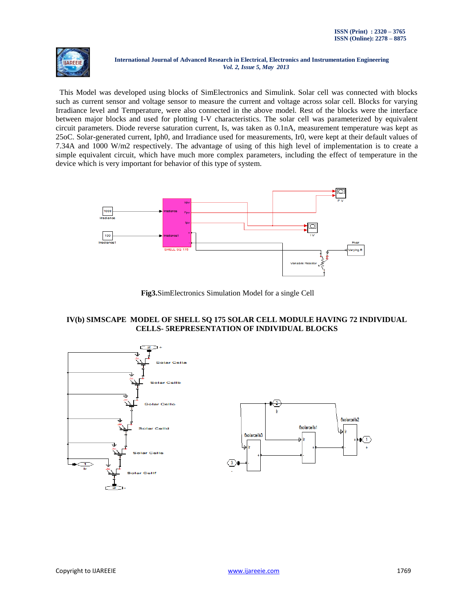

 This Model was developed using blocks of SimElectronics and Simulink. Solar cell was connected with blocks such as current sensor and voltage sensor to measure the current and voltage across solar cell. Blocks for varying Irradiance level and Temperature, were also connected in the above model. Rest of the blocks were the interface between major blocks and used for plotting I-V characteristics. The solar cell was parameterized by equivalent circuit parameters. Diode reverse saturation current, Is, was taken as 0.1nA, measurement temperature was kept as 25oC. Solar-generated current, Iph0, and Irradiance used for measurements, Ir0, were kept at their default values of 7.34A and 1000 W/m2 respectively. The advantage of using of this high level of implementation is to create a simple equivalent circuit, which have much more complex parameters, including the effect of temperature in the device which is very important for behavior of this type of system.



 **Fig3.**SimElectronics Simulation Model for a single Cell

# **IV(b) SIMSCAPE MODEL OF SHELL SQ 175 SOLAR CELL MODULE HAVING 72 INDIVIDUAL CELLS- 5REPRESENTATION OF INDIVIDUAL BLOCKS**



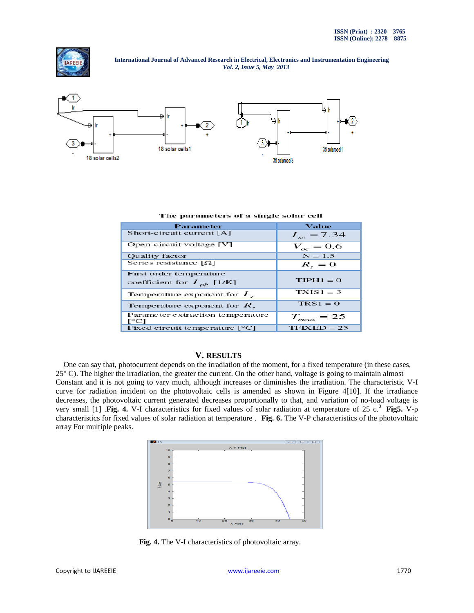



#### The parameters of a single solar cell

| Parameter                                        | Value           |
|--------------------------------------------------|-----------------|
| Short-circuit current [A]                        | $I_{sc} = 7.34$ |
| Open-circuit voltage [V]                         | $V_{oc} = 0.6$  |
| Quality factor                                   | $N = 1.5$       |
| Series resistance $\lceil \Omega \rceil$         | $R_{\rm c}=0$   |
| First order temperature                          |                 |
| coefficient for $I_{ph}$ [1/K]                   | $TIPH1 = 0$     |
| Temperature exponent for $I_{\kappa}$            | $TXIS1 = 3$     |
| Temperature exponent for $R_{\rm g}$             | $TRS1 = 0$      |
| Parameter extraction temperature<br>$\Gamma$ °C1 | $T_{meas} = 25$ |
| Fixed circuit temperature $[^{\circ}C]$          | $TFIXED = 25$   |

## **V. RESULTS**

 One can say that, photocurrent depends on the irradiation of the moment, for a fixed temperature (in these cases, 25° C). The higher the irradiation, the greater the current. On the other hand, voltage is going to maintain almost Constant and it is not going to vary much, although increases or diminishes the irradiation. The characteristic V-I curve for radiation incident on the photovoltaic cells is amended as shown in Figure 4[10]. If the irradiance decreases, the photovoltaic current generated decreases proportionally to that, and variation of no-load voltage is very small [1]  $\text{Fig. 4. V-I characteristics for fixed values of solar radiation at temperature of 25 c.}^0 \text{ Fig. V-p}$ characteristics for fixed values of solar radiation at temperature . **Fig. 6.** The V-P characteristics of the photovoltaic array For multiple peaks.



 **Fig. 4.** The V-I characteristics of photovoltaic array.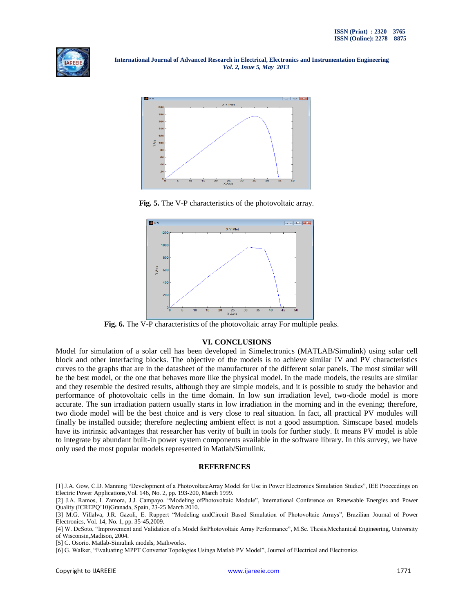



 **Fig. 5.** The V-P characteristics of the photovoltaic array.



 **Fig. 6.** The V-P characteristics of the photovoltaic array For multiple peaks.

# **VI. CONCLUSIONS**

Model for simulation of a solar cell has been developed in Simelectronics (MATLAB/Simulink) using solar cell block and other interfacing blocks. The objective of the models is to achieve similar IV and PV characteristics curves to the graphs that are in the datasheet of the manufacturer of the different solar panels. The most similar will be the best model, or the one that behaves more like the physical model. In the made models, the results are similar and they resemble the desired results, although they are simple models, and it is possible to study the behavior and performance of photovoltaic cells in the time domain. In low sun irradiation level, two-diode model is more accurate. The sun irradiation pattern usually starts in low irradiation in the morning and in the evening; therefore, two diode model will be the best choice and is very close to real situation. In fact, all practical PV modules will finally be installed outside; therefore neglecting ambient effect is not a good assumption. Simscape based models have its intrinsic advantages that researcher has verity of built in tools for further study. It means PV model is able to integrate by abundant built-in power system components available in the software library. In this survey, we have only used the most popular models represented in Matlab/Simulink.

# **REFERENCES**

[1] J.A. Gow, C.D. Manning "Development of a PhotovoltaicArray Model for Use in Power Electronics Simulation Studies", IEE Proceedings on Electric Power Applications,Vol. 146, No. 2, pp. 193-200, March 1999.

[2] J.A. Ramos, I. Zamora, J.J. Campayo. "Modeling ofPhotovoltaic Module", International Conference on Renewable Energies and Power Quality (ICREPQ'10)Granada, Spain, 23-25 March 2010.

[4] W. DeSoto, "Improvement and Validation of a Model forPhotovoltaic Array Performance", M.Sc. Thesis,Mechanical Engineering, University of Wisconsin,Madison, 2004.

[5] C. Osorio. Matlab-Simulink models, Mathworks.

[6] G. Walker, "Evaluating MPPT Converter Topologies Usinga Matlab PV Model", Journal of Electrical and Electronics

<sup>[3]</sup> M.G. Villalva, J.R. Gazoli, E. Ruppert "Modeling andCircuit Based Simulation of Photovoltaic Arrays", Brazilian Journal of Power Electronics, Vol. 14, No. 1, pp. 35-45,2009.